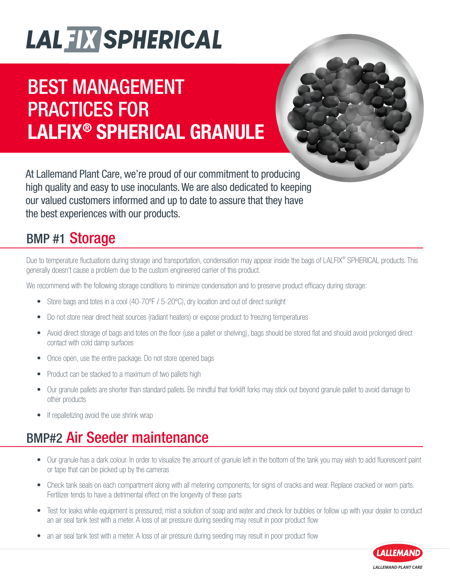### BEST MANAGEMENT PRACTICES FOR LALFIX® SPHERICAL GRANULE



At Lallemand Plant Care, we're proud of our commitment to producing high quality and easy to use inoculants. We are also dedicated to keeping our valued customers informed and up to date to assure that they have the best experiences with our products.

#### BMP #1 Storage

Due to temperature fluctuations during storage and transportation, condensation may appear inside the bags of LALFIX® SPHERICAL products. This generally doesn't cause a problem due to the custom engineered carrier of this product.

We recommend with the following storage conditions to minimize condensation and to preserve product efficacy during storage:

- Store bags and totes in a cool (40-70°F / 5-20°C), dry location and out of direct sunlight
- Do not store near direct heat sources (radiant heaters) or expose product to freezing temperatures
- Avoid direct storage of bags and totes on the floor (use a pallet or shelving), bags should be stored flat and should avoid prolonged direct contact with cold damp surfaces
- Once open, use the entire package. Do not store opened bags
- Product can be stacked to a maximum of two pallets high
- Our granule pallets are shorter than standard pallets. Be mindful that forklift forks may stick out beyond granule pallet to avoid damage to other products
- If repalletizing avoid the use shrink wrap

### BMP#2 Air Seeder maintenance

- Our granule has a dark colour. In order to visualize the amount of granule left in the bottom of the tank you may wish to add fluorescent paint or tape that can be picked up by the cameras
- Check tank seals on each compartment along with all metering components, for signs of cracks and wear. Replace cracked or worn parts. Fertilizer tends to have a detrimental effect on the longevity of these parts
- Test for leaks while equipment is pressured; mist a solution of soap and water and check for bubbles or follow up with your dealer to conduct an air seal tank test with a meter. A loss of air pressure during seeding may result in poor product flow
- an air seal tank test with a meter. A loss of air pressure during seeding may result in poor product flow

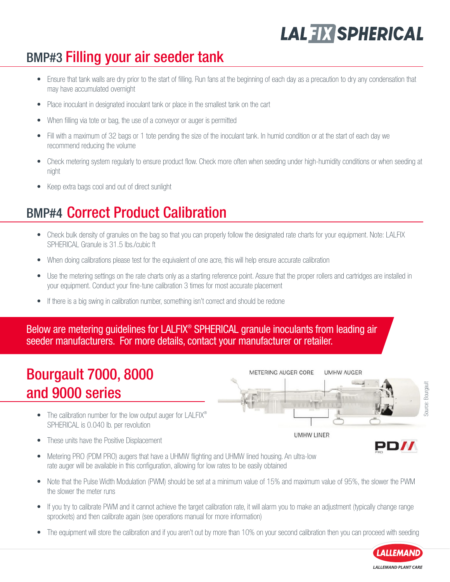#### BMP#3 Filling your air seeder tank

- Ensure that tank walls are dry prior to the start of filling. Run fans at the beginning of each day as a precaution to dry any condensation that may have accumulated overnight
- Place inoculant in designated inoculant tank or place in the smallest tank on the cart
- When filling via tote or bag, the use of a conveyor or auger is permitted
- Fill with a maximum of 32 bags or 1 tote pending the size of the inoculant tank. In humid condition or at the start of each day we recommend reducing the volume
- Check metering system regularly to ensure product flow. Check more often when seeding under high-humidity conditions or when seeding at night
- Keep extra bags cool and out of direct sunlight

#### BMP#4 Correct Product Calibration

- Check bulk density of granules on the bag so that you can properly follow the designated rate charts for your equipment. Note: LALFIX SPHERICAL Granule is 31.5 lbs./cubic ft
- When doing calibrations please test for the equivalent of one acre, this will help ensure accurate calibration
- Use the metering settings on the rate charts only as a starting reference point. Assure that the proper rollers and cartridges are installed in your equipment. Conduct your fine-tune calibration 3 times for most accurate placement

METERING AUGER CORE

**UMHW LINER** 

**UMHW AUGER** 

• If there is a big swing in calibration number, something isn't correct and should be redone

Below are metering guidelines for LALFIX<sup>®</sup> SPHERICAL granule inoculants from leading air seeder manufacturers. For more details, contact your manufacturer or retailer.

#### Bourgault 7000, 8000 and 9000 series

- The calibration number for the low output auger for LALFIX<sup>®</sup> SPHERICAL is 0.040 lb. per revolution
- These units have the Positive Displacement
- Metering PRO (PDM PRO) augers that have a UHMW flighting and UHMW lined housing. An ultra-low rate auger will be available in this configuration, allowing for low rates to be easily obtained
- Note that the Pulse Width Modulation (PWM) should be set at a minimum value of 15% and maximum value of 95%, the slower the PWM the slower the meter runs
- If you try to calibrate PWM and it cannot achieve the target calibration rate, it will alarm you to make an adjustment (typically change range sprockets) and then calibrate again (see operations manual for more information)
- The equipment will store the calibration and if you aren't out by more than 10% on your second calibration then you can proceed with seeding



PD//

Source: Bourgault

ource: Bourgau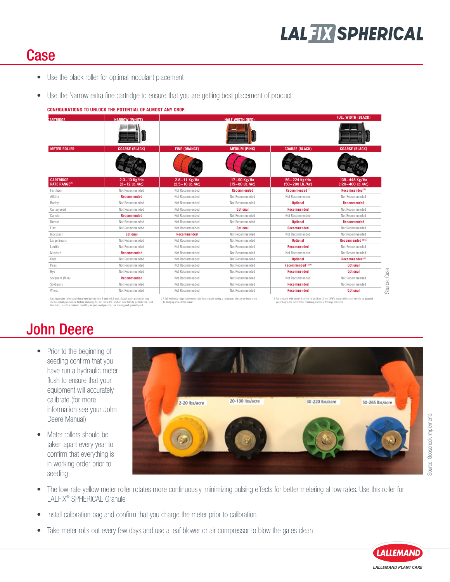#### **Case**

- Use the black roller for optimal inoculant placement
- Use the Narrow extra fine cartridge to ensure that you are getting best placement of product

#### **CONFIGURATIONS TO UNLOCK THE POTENTIAL OF ALMOST ANY CROP.**

| <b>LARTRINGF</b>                         | <b>NARROW (WHITE)</b>                 | <b>HALF WINTH (RED)</b>                                |                                                |                                                  | <b>FULL WIDTH (BLACK)</b>         |
|------------------------------------------|---------------------------------------|--------------------------------------------------------|------------------------------------------------|--------------------------------------------------|-----------------------------------|
|                                          |                                       |                                                        |                                                |                                                  |                                   |
| <b>METER ROLLER</b>                      | <b>COARSE (BLACK)</b>                 | <b>FINE (ORANGE)</b>                                   | <b>MEDIUM (PINK)</b>                           | <b>COARSE (BLACK)</b>                            | <b>COARSE (BLACK)</b>             |
|                                          |                                       |                                                        |                                                |                                                  |                                   |
| <b>CARTRIDGE</b><br><b>RATE RANGE(1)</b> | $2.3 - 13$ Kg/Ha<br>$(2 - 12$ Lb./Ac) | $2.8 - 11$ Kg/Ha<br>$(2.5 - 10 \text{ Lb.}/\text{Ac})$ | 17-90 Kg/Ha<br>$(15-80 \text{ Lb.}/\text{Ac})$ | 56-224 Kg/Ha<br>$(50-200 \text{ Lb.}/\text{Ac})$ | 135-448 Kg/Ha<br>(120-400 Lb./Ac) |
| Fertilizer                               | Not Recommended                       | Not Recommended                                        | <b>Recommended</b>                             | Recommended <sup>(2)</sup>                       | Recommended <sup>(2)</sup>        |
| Alfalfa                                  | <b>Recommended</b>                    | Not Recommended                                        | Not Recommended                                | Not Recommended                                  | Not Recommended                   |
| Barley                                   | Not Recommended                       | Not Recommended                                        | Not Recommended                                | <b>Optional</b>                                  | Recommended                       |
| Canaryseed                               | Not Recommended                       | Not Recommended                                        | <b>Optional</b>                                | <b>Recommended</b>                               | Not Recommended                   |
| Canola                                   | <b>Recommended</b>                    | Not Recommended                                        | Not Recommended                                | Not Recommended                                  | Not Recommended                   |
| Durum                                    | Not Recommended                       | Not Recommended                                        | Not Recommended                                | <b>Optional</b>                                  | <b>Recommended</b>                |
| Flax                                     | Not Recommended                       | Not Recommended                                        | <b>Optional</b>                                | <b>Recommended</b>                               | Not Recommended                   |
| Inoculant                                | <b>Optional</b>                       | <b>Recommended</b>                                     | Not Recommended                                | Not Recommended                                  | Not Recommended                   |
| Large Beans                              | Not Recommended                       | Not Recommended                                        | Not Recommended                                | <b>Optional</b>                                  | Recommended <sup>(2)(3)</sup>     |
| Lentils                                  | Not Recommended                       | Not Recommended                                        | Not Recommended                                | <b>Recommended</b>                               | Not Recommended                   |
| Mustard                                  | <b>Recommended</b>                    | Not Recommended                                        | Not Recommended                                | Not Recommended                                  | Not Recommended                   |
| Oats                                     | Not Recommended                       | Not Recommended                                        | Not Recommended                                | <b>Optional</b>                                  | Recommended <sup>(2)</sup>        |
| Peas                                     | Not Recommended                       | Not Recommended                                        | Not Recommended                                | Recommended <sup>(2)(3)</sup>                    | <b>Optional</b>                   |
| Rye                                      | Not Recommended                       | Not Recommended                                        | Not Recommended                                | <b>Recommended</b>                               | <b>Optional</b>                   |
| Sorghum (Milo)                           | <b>Recommended</b>                    | Not Recommended                                        | Not Recommended                                | Not Recommended                                  | Not Recommended                   |
| Sovbeans                                 | Not Recommended                       | Not Recommended                                        | Not Recommended                                | <b>Recommended</b>                               | Not Recommended                   |
| Wheat                                    | Not Recommended                       | Not Recommended                                        | Not Recommended                                | <b>Recommended</b>                               | <b>Optional</b>                   |

1 Cartridge rates listed apply for ground speeds from 4 mph to 5.5 mph. Actual application rates may<br>vary depending on several factors, including but not limited to: product bulk density, particle size, seed<br>treatment, moi

.<br>A full-width carrier particle size or those products having a larger particle size or those p to bridging or seed flow issues.

3 For products with kernel diameter larger than 10 mm (3/8"), meter rollers may need to be adapted according to the meter roller trimming procedure for large products.

#### John Deere

- Prior to the beginning of seeding confirm that you have run a hydraulic meter flush to ensure that your equipment will accurately calibrate (for more information see your John Deere Manual)
- Meter rollers should be taken apart every year to confirm that everything is in working order prior to seeding



- The low-rate yellow meter roller rotates more continuously, minimizing pulsing effects for better metering at low rates. Use this roller for LALFIX® SPHERICAL Granule
- Install calibration bag and confirm that you charge the meter prior to calibration
- Take meter rolls out every few days and use a leaf blower or air compressor to blow the gates clean

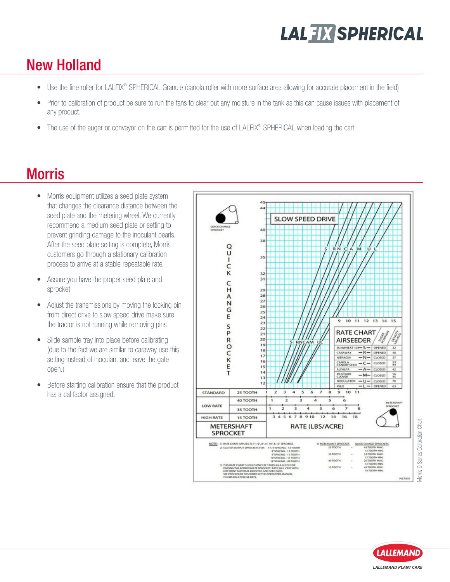#### New Holland

- Use the fine roller for LALFIX® SPHERICAL Granule (canola roller with more surface area allowing for accurate placement in the field)
- Prior to calibration of product be sure to run the fans to clear out any moisture in the tank as this can cause issues with placement of any product.
- The use of the auger or conveyor on the cart is permitted for the use of LALFIX® SPHERICAL when loading the cart

#### **Morris**

- Morris equipment utilizes a seed plate system that changes the clearance distance between the seed plate and the metering wheel. We currently recommend a medium seed plate or setting to prevent grinding damage to the inoculant pearls. After the seed plate setting is complete, Morris customers go through a stationary calibration process to arrive at a stable repeatable rate.
- Assure you have the proper seed plate and sprocket
- Adjust the transmissions by moving the locking pin from direct drive to slow speed drive make sure the tractor is not running while removing pins
- Slide sample tray into place before calibrating (due to the fact we are similar to caraway use this setting instead of inoculant and leave the gate open.)
- Before starting calibration ensure that the product has a cal factor assigned.